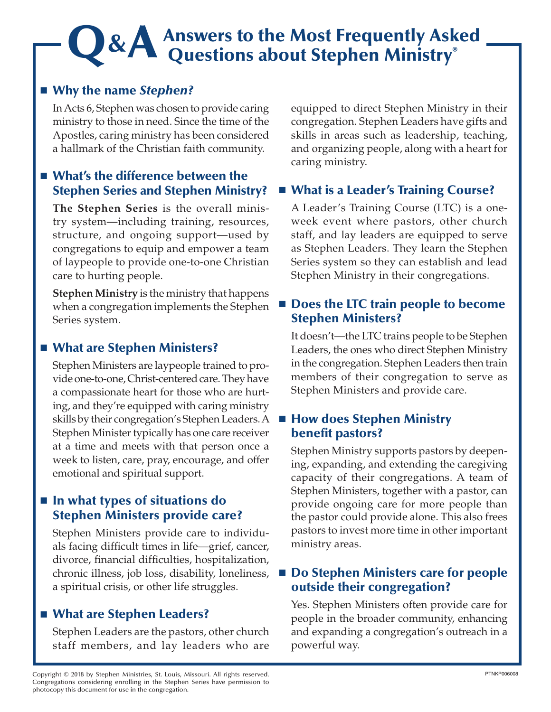# **Q&A** Answers to the Most Frequently Asked Questions about Stephen Ministry®

# ■ Why the name *Stephen?*

In Acts 6, Stephen was chosen to provide caring ministry to those in need. Since the time of the Apostles, caring ministry has been considered a hallmark of the Christian faith community.

## ■ What's the difference between the Stephen Series and Stephen Ministry?

**The Stephen Series** is the overall ministry system—including training, resources, structure, and ongoing support—used by congregations to equip and empower a team of laypeople to provide one-to-one Christian care to hurting people.

**Stephen Ministry** is the ministry that happens when a congregation implements the Stephen Series system.

## ■ What are Stephen Ministers?

Stephen Ministers are laypeople trained to provide one-to-one, Christ-centered care. They have a compassionate heart for those who are hurting, and they're equipped with caring ministry skills by their congregation's Stephen Leaders. A Stephen Minister typically has one care receiver at a time and meets with that person once a week to listen, care, pray, encourage, and offer emotional and spiritual support.

# ■ In what types of situations do Stephen Ministers provide care?

Stephen Ministers provide care to individuals facing difficult times in life—grief, cancer, divorce, financial difficulties, hospitalization, chronic illness, job loss, disability, loneliness, a spiritual crisis, or other life struggles.

## ■ What are Stephen Leaders?

Stephen Leaders are the pastors, other church staff members, and lay leaders who are

equipped to direct Stephen Ministry in their congregation. Stephen Leaders have gifts and skills in areas such as leadership, teaching, and organizing people, along with a heart for caring ministry.

# ■ What is a Leader's Training Course?

A Leader's Training Course (LTC) is a oneweek event where pastors, other church staff, and lay leaders are equipped to serve as Stephen Leaders. They learn the Stephen Series system so they can establish and lead Stephen Ministry in their congregations.

## ■ Does the LTC train people to become Stephen Ministers?

It doesn't—the LTC trains people to be Stephen Leaders, the ones who direct Stephen Ministry in the congregation. Stephen Leaders then train members of their congregation to serve as Stephen Ministers and provide care.

#### **How does Stephen Ministry** benefit pastors?

Stephen Ministry supports pastors by deepening, expanding, and extending the caregiving capacity of their congregations. A team of Stephen Ministers, together with a pastor, can provide ongoing care for more people than the pastor could provide alone. This also frees pastors to invest more time in other important ministry areas.

## ■ Do Stephen Ministers care for people outside their congregation?

Yes. Stephen Ministers often provide care for people in the broader community, enhancing and expanding a congregation's outreach in a powerful way.

Copyright © 2018 by Stephen Ministries, St. Louis, Missouri. All rights reserved. Congregations considering enrolling in the Stephen Series have permission to photocopy this document for use in the congregation.